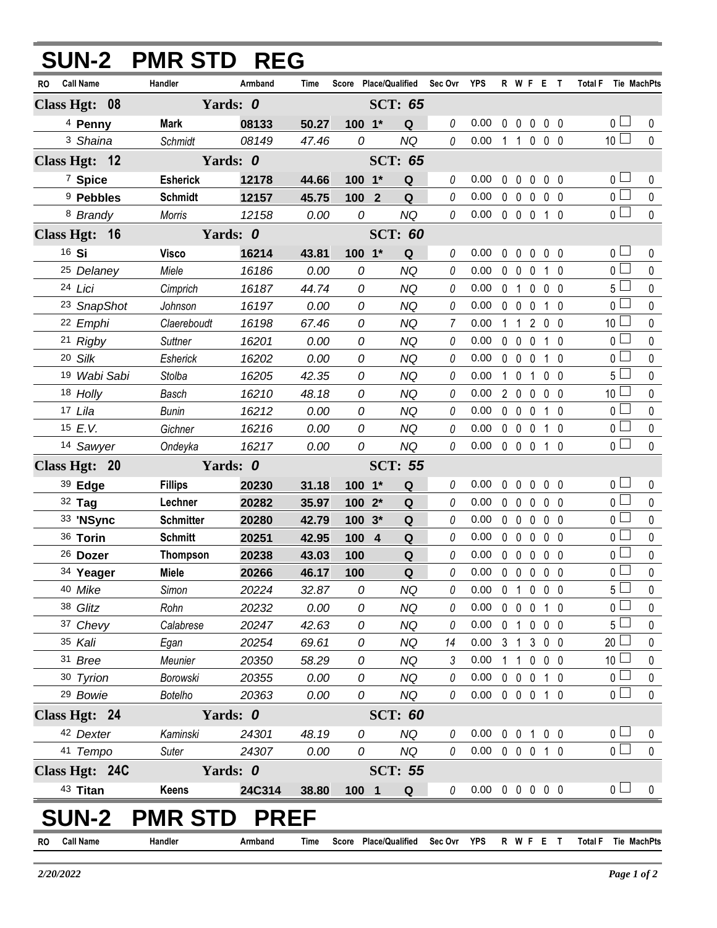|                               | <b>SUN-2 PMR STD REG</b> |             |       |               |                                   |             |                            |  |                   |                |                   |           |                       |              |
|-------------------------------|--------------------------|-------------|-------|---------------|-----------------------------------|-------------|----------------------------|--|-------------------|----------------|-------------------|-----------|-----------------------|--------------|
| <b>Call Name</b><br><b>RO</b> | Handler                  | Armband     | Time  |               | Score Place/Qualified Sec Ovr YPS |             |                            |  | R W F E T         |                |                   |           | Total F Tie MachPts   |              |
| Class Hgt: 08                 |                          | Yards: 0    |       |               | <b>SCT: 65</b>                    |             |                            |  |                   |                |                   |           |                       |              |
| <sup>4</sup> Penny            | <b>Mark</b>              | 08133       | 50.27 | 100 1*        | Q                                 | 0           | 0.00                       |  | $0\quad 0$        |                | $0\quad 0\quad 0$ |           | 0 <sub>l</sub>        | 0            |
| <sup>3</sup> Shaina           | Schmidt                  | 08149       | 47.46 | 0             | <b>NQ</b>                         | 0           | $0.00$ 1 1 0 0 0           |  |                   |                |                   |           | 10 <sup>1</sup>       | $\mathbf 0$  |
| Class Hgt: 12                 |                          | Yards: 0    |       |               | <b>SCT: 65</b>                    |             |                            |  |                   |                |                   |           |                       |              |
| <sup>7</sup> Spice            | <b>Esherick</b>          | 12178       | 44.66 | 100 1*        | Q                                 | 0           | 0.00                       |  | $0\quad 0$        | $\mathbf 0$    | 0 <sub>0</sub>    |           | 0 <sub>0</sub>        | $\mathbf 0$  |
| <sup>9</sup> Pebbles          | <b>Schmidt</b>           | 12157       | 45.75 | 100 2         | Q                                 | 0           | 0.00                       |  | $0\quad 0\quad 0$ |                | 0 <sub>0</sub>    |           | $\overline{0}$        | $\mathbf 0$  |
| 8 Brandy                      | Morris                   | 12158       | 0.00  | 0             | <b>NQ</b>                         | 0           | 0.00                       |  | $0\quad 0\quad 0$ |                | $1\quad0$         |           | 0 <sub>0</sub>        | $\mathbf 0$  |
| Class Hgt: 16                 |                          | Yards: 0    |       |               | <b>SCT: 60</b>                    |             |                            |  |                   |                |                   |           |                       |              |
| 16 Si                         | <b>Visco</b>             | 16214       | 43.81 | $100 - 1*$    | Q                                 | 0           | 0.00                       |  | $0\quad 0$        | $\mathbf 0$    | 0 <sub>0</sub>    |           | 0 <sub>0</sub>        | 0            |
| 25 Delaney                    | Miele                    | 16186       | 0.00  | 0             | <b>NQ</b>                         | 0           | 0.00                       |  | $0\quad 0$        | $\mathbf 0$    | $1\quad0$         |           | 0 <sub>0</sub>        | 0            |
| 24 Lici                       | Cimprich                 | 16187       | 44.74 | 0             | <b>NQ</b>                         | 0           | 0.00                       |  | 0 <sub>1</sub>    | $\mathsf{O}$   | $0\quad 0$        |           | $5\Box$               | $\mathbf 0$  |
| <sup>23</sup> SnapShot        | Johnson                  | 16197       | 0.00  | 0             | <b>NQ</b>                         | 0           | 0.00                       |  | $0\quad 0$        | $\mathbf 0$    | $1\quad0$         |           | 0 <sub>1</sub>        | 0            |
| 22 Emphi                      | Claereboudt              | 16198       | 67.46 | $\mathcal{O}$ | NQ                                | 7           | 0.00                       |  | $1\quad1$         |                | 2 0 0             |           | 10 <sup>1</sup>       | 0            |
| 21 Rigby                      | <b>Suttner</b>           | 16201       | 0.00  | 0             | <b>NQ</b>                         | 0           | 0.00                       |  | $0\quad 0$        | $\mathbf 0$    | $1\quad0$         |           | 0 <sub>1</sub>        | 0            |
| 20 Silk                       | Esherick                 | 16202       | 0.00  | 0             | NQ                                | 0           | 0.00                       |  | $0\quad 0\quad 0$ |                | $1\quad0$         |           | $\overline{0}$        | $\mathbf 0$  |
| 19 Wabi Sabi                  | Stolba                   | 16205       | 42.35 | 0             | NQ                                | 0           | 0.00                       |  | $1\quad 0$        | $\overline{1}$ | 0 <sub>0</sub>    |           | 5 <sub>1</sub>        | 0            |
| 18 Holly                      | Basch                    | 16210       | 48.18 | 0             | NQ                                | 0           | 0.00                       |  | 200               |                | 0 <sub>0</sub>    |           | 10 <sup>1</sup>       | $\mathbf 0$  |
| 17 Lila                       | <b>Bunin</b>             | 16212       | 0.00  | 0             | NQ                                | 0           | 0.00                       |  | $0\quad 0$        | $\mathbf 0$    | $1\quad0$         |           | 0 <sub>1</sub>        | $\mathbf 0$  |
| 15 E.V.                       | Gichner                  | 16216       | 0.00  | 0             | <b>NQ</b>                         | 0           | 0.00                       |  | $0\quad 0\quad 0$ |                | 10                |           | 0 <sup>2</sup>        | $\pmb{0}$    |
| 14 Sawyer                     | Ondeyka                  | 16217       | 0.00  | 0             | <b>NQ</b>                         | 0           | 0.00                       |  | $0\quad 0\quad 0$ |                | 1 0               |           | 0 <sub>l</sub>        | $\mathbf 0$  |
| Class Hgt: 20                 |                          | Yards: 0    |       |               | <b>SCT: 55</b>                    |             |                            |  |                   |                |                   |           |                       |              |
| 39 Edge                       | <b>Fillips</b>           | 20230       | 31.18 | $100 - 1*$    | Q                                 | 0           | 0.00                       |  | $0\quad 0$        | $\mathbf 0$    | 0 <sub>0</sub>    |           | 0 <sub>0</sub>        | $\pmb{0}$    |
| 32 Tag                        | Lechner                  | 20282       | 35.97 | $1002*$       | Q                                 | 0           | 0.00                       |  | $0\quad 0$        | $\mathbf 0$    | $0\quad 0$        |           | 0 <sub>0</sub>        | $\pmb{0}$    |
| 33 'NSync                     | <b>Schmitter</b>         | 20280       | 42.79 | $100.3*$      | Q                                 | 0           | 0.00                       |  | $0\quad 0\quad 0$ |                | 0 <sub>0</sub>    |           | 0 <sub>0</sub>        | $\mathbf 0$  |
| 36 Torin                      | <b>Schmitt</b>           | 20251       | 42.95 | 100 4         | Q                                 | 0           | 0.00                       |  | $0\quad 0$        | $\mathbf 0$    | 0 <sub>0</sub>    |           | 0 <sub>0</sub>        | 0            |
| 26 Dozer                      | <b>Thompson</b>          | 20238       | 43.03 | 100           | $\mathbf Q$                       | 0           | 0.00                       |  | 00000             |                |                   |           | $\overline{0}$ $\Box$ | $\pmb{0}$    |
| 34 Yeager                     | Miele                    | 20266       | 46.17 | 100           | Q                                 | 0           | $0.00 \t0 \t0 \t0 \t0 \t0$ |  |                   |                |                   |           | 0 <sub>0</sub>        | $\mathbf 0$  |
| 40 Mike                       | Simon                    | 20224       | 32.87 | 0             | ΝQ                                | 0           | $0.00 \t0 1 0 0 0$         |  |                   |                |                   |           | 5 <sub>1</sub>        | $\mathbf{0}$ |
| 38 Glitz                      | Rohn                     | 20232       | 0.00  | 0             | <b>NQ</b>                         | 0           | 0.00                       |  | 0 0 0 1 0         |                |                   |           | 0 L                   | 0            |
| 37 Chevy                      | Calabrese                | 20247       | 42.63 | 0             | <b>NQ</b>                         | 0           | 0.00                       |  | 0 1 0 0 0         |                |                   |           | 5 <sub>1</sub>        | $\pmb{0}$    |
| 35 Kali                       | Egan                     | 20254       | 69.61 | 0             | <b>NQ</b>                         | 14          | 0.00                       |  | 3 1 3 0 0         |                |                   |           | 20 <sub>1</sub>       | 0            |
| 31 Bree                       | Meunier                  | 20350       | 58.29 | 0             | <b>NQ</b>                         | 3           | 0.00                       |  | 1 1 0 0 0         |                |                   |           | 10 <sup>1</sup>       | $\mathbf 0$  |
| 30 Tyrion                     | Borowski                 | 20355       | 0.00  | 0             | <b>NQ</b>                         | 0           | 0.00                       |  | 0 0 0 1 0         |                |                   |           | 0 <sub>1</sub>        | 0            |
| <sup>29</sup> Bowie           | <b>Botelho</b>           | 20363       | 0.00  | 0             | <b>NQ</b>                         | 0           | $0.00 \t0 \t0 \t0 \t1 \t0$ |  |                   |                |                   |           | $\overline{0}$        | $\mathbf 0$  |
| Class Hgt: 24                 |                          | Yards: 0    |       |               | <b>SCT: 60</b>                    |             |                            |  |                   |                |                   |           |                       |              |
| 42 Dexter                     | Kaminski                 | 24301       | 48.19 | 0             | <b>NQ</b>                         | 0           | $0.00 \t0 \t0 \t1 \t0 \t0$ |  |                   |                |                   |           | 0 <sub>0</sub>        | 0            |
| 41 Tempo                      | Suter                    | 24307       | 0.00  | 0             | <b>NQ</b>                         | $\theta$    | $0.00 \t0 \t0 \t0 \t1 \t0$ |  |                   |                |                   |           | $\overline{0}$        | $\mathbf 0$  |
| Class Hgt: 24C                |                          | Yards: 0    |       |               | <b>SCT: 55</b>                    |             |                            |  |                   |                |                   |           |                       |              |
| 43 Titan                      | Keens                    | 24C314      | 38.80 | 100 1         | Q                                 | $\theta$    | $0.00 \t0 \t0 \t0 \t0$     |  |                   |                |                   |           | 0 <sub>1</sub>        | $\mathbf 0$  |
| <b>SUN-2</b>                  | <b>PMR</b><br><b>STD</b> | <b>PREF</b> |       |               |                                   |             |                            |  |                   |                |                   |           |                       |              |
| <b>Call Name</b><br><b>RO</b> | Handler                  | Armband     | Time  |               | Score Place/Qualified             | Sec Ovr YPS |                            |  |                   |                |                   | R W F E T | Total F Tie MachPts   |              |